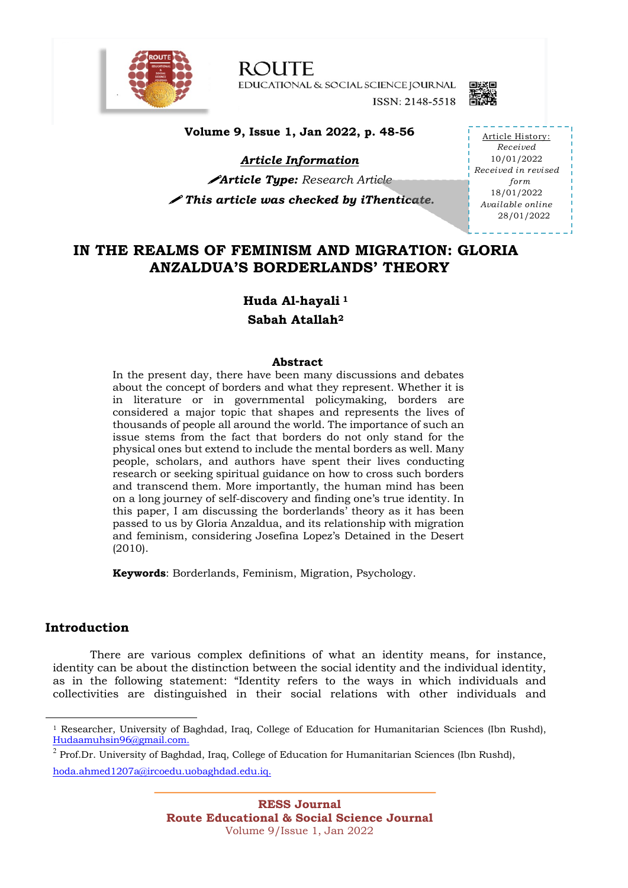

**ROUTE** EDUCATIONAL & SOCIAL SCIENCE JOURNAL ISSN: 2148-5518



# **Volume 9, Issue 1, Jan 2022, p. 48-56**

*Article Information*

!*Article Type: Research Article* ! *This article was checked by iThenticate.* 

Article History: *Received* 10/01/2022 *Received in revised form* 18/01/2022 *Available online* 28/01/2022

# **IN THE REALMS OF FEMINISM AND MIGRATION: GLORIA ANZALDUA'S BORDERLANDS' THEORY**

**Huda Al-hayali <sup>1</sup>**

**Sabah Atallah2**

## **Abstract**

In the present day, there have been many discussions and debates about the concept of borders and what they represent. Whether it is in literature or in governmental policymaking, borders are considered a major topic that shapes and represents the lives of thousands of people all around the world. The importance of such an issue stems from the fact that borders do not only stand for the physical ones but extend to include the mental borders as well. Many people, scholars, and authors have spent their lives conducting research or seeking spiritual guidance on how to cross such borders and transcend them. More importantly, the human mind has been on a long journey of self-discovery and finding one's true identity. In this paper, I am discussing the borderlands' theory as it has been passed to us by Gloria Anzaldua, and its relationship with migration and feminism, considering Josefina Lopez's Detained in the Desert (2010).

**Keywords**: Borderlands, Feminism, Migration, Psychology.

# **Introduction**

There are various complex definitions of what an identity means, for instance, identity can be about the distinction between the social identity and the individual identity, as in the following statement: "Identity refers to the ways in which individuals and collectivities are distinguished in their social relations with other individuals and

<sup>1</sup> Researcher, University of Baghdad, Iraq, College of Education for Humanitarian Sciences (Ibn Rushd), Hudaamuhsin96@gmail.com.

 $<sup>2</sup>$  Prof.Dr. University of Baghdad, Iraq, College of Education for Humanitarian Sciences (Ibn Rushd),</sup> hoda.ahmed1207a@ircoedu.uobaghdad.edu.iq.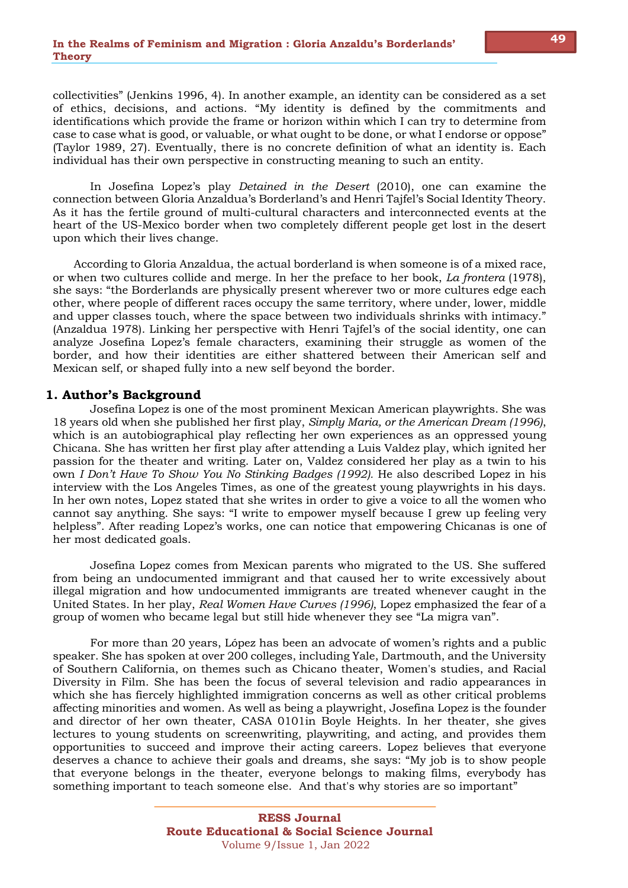collectivities" (Jenkins 1996, 4). In another example, an identity can be considered as a set of ethics, decisions, and actions. "My identity is defined by the commitments and identifications which provide the frame or horizon within which I can try to determine from case to case what is good, or valuable, or what ought to be done, or what I endorse or oppose" (Taylor 1989, 27). Eventually, there is no concrete definition of what an identity is. Each individual has their own perspective in constructing meaning to such an entity.

In Josefina Lopez's play *Detained in the Desert* (2010), one can examine the connection between Gloria Anzaldua's Borderland's and Henri Tajfel's Social Identity Theory. As it has the fertile ground of multi-cultural characters and interconnected events at the heart of the US-Mexico border when two completely different people get lost in the desert upon which their lives change.

 According to Gloria Anzaldua, the actual borderland is when someone is of a mixed race, or when two cultures collide and merge. In her the preface to her book, *La frontera* (1978), she says: "the Borderlands are physically present wherever two or more cultures edge each other, where people of different races occupy the same territory, where under, lower, middle and upper classes touch, where the space between two individuals shrinks with intimacy." (Anzaldua 1978). Linking her perspective with Henri Tajfel's of the social identity, one can analyze Josefina Lopez's female characters, examining their struggle as women of the border, and how their identities are either shattered between their American self and Mexican self, or shaped fully into a new self beyond the border.

## **1. Author's Background**

Josefina Lopez is one of the most prominent Mexican American playwrights. She was 18 years old when she published her first play, *Simply Maria, or the American Dream (1996)*, which is an autobiographical play reflecting her own experiences as an oppressed young Chicana. She has written her first play after attending a Luis Valdez play, which ignited her passion for the theater and writing. Later on, Valdez considered her play as a twin to his own *I Don't Have To Show You No Stinking Badges (1992).* He also described Lopez in his interview with the Los Angeles Times, as one of the greatest young playwrights in his days. In her own notes, Lopez stated that she writes in order to give a voice to all the women who cannot say anything. She says: "I write to empower myself because I grew up feeling very helpless". After reading Lopez's works, one can notice that empowering Chicanas is one of her most dedicated goals.

Josefina Lopez comes from Mexican parents who migrated to the US. She suffered from being an undocumented immigrant and that caused her to write excessively about illegal migration and how undocumented immigrants are treated whenever caught in the United States. In her play, *Real Women Have Curves (1996)*, Lopez emphasized the fear of a group of women who became legal but still hide whenever they see "La migra van".

For more than 20 years, López has been an advocate of women's rights and a public speaker. She has spoken at over 200 colleges, including Yale, Dartmouth, and the University of Southern California, on themes such as Chicano theater, Women's studies, and Racial Diversity in Film. She has been the focus of several television and radio appearances in which she has fiercely highlighted immigration concerns as well as other critical problems affecting minorities and women. As well as being a playwright, Josefina Lopez is the founder and director of her own theater, CASA 0101in Boyle Heights. In her theater, she gives lectures to young students on screenwriting, playwriting, and acting, and provides them opportunities to succeed and improve their acting careers. Lopez believes that everyone deserves a chance to achieve their goals and dreams, she says: "My job is to show people that everyone belongs in the theater, everyone belongs to making films, everybody has something important to teach someone else. And that's why stories are so important"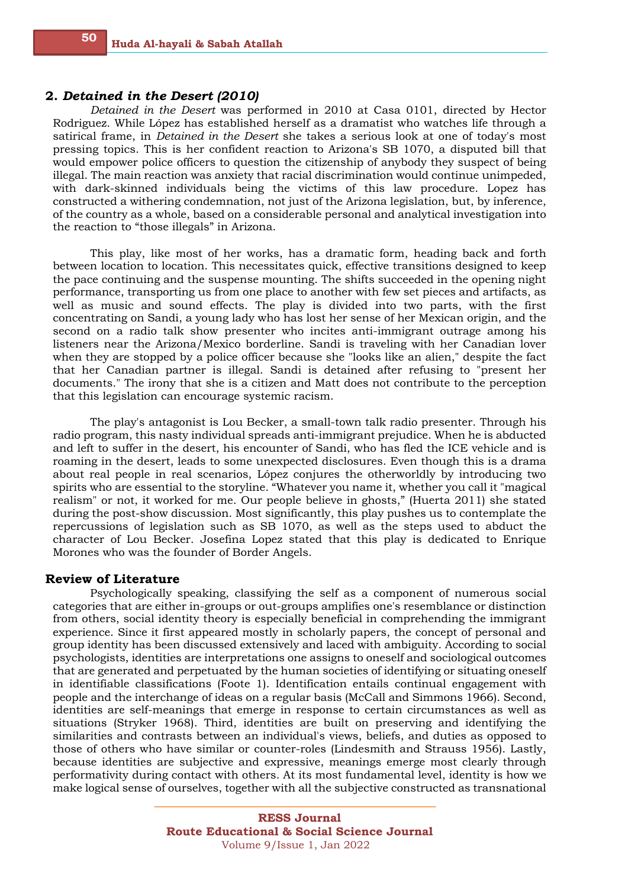#### **2.** *Detained in the Desert (2010)*

*Detained in the Desert* was performed in 2010 at Casa 0101, directed by Hector Rodriguez. While López has established herself as a dramatist who watches life through a satirical frame, in *Detained in the Desert* she takes a serious look at one of today's most pressing topics. This is her confident reaction to Arizona's SB 1070, a disputed bill that would empower police officers to question the citizenship of anybody they suspect of being illegal. The main reaction was anxiety that racial discrimination would continue unimpeded, with dark-skinned individuals being the victims of this law procedure. Lopez has constructed a withering condemnation, not just of the Arizona legislation, but, by inference, of the country as a whole, based on a considerable personal and analytical investigation into the reaction to "those illegals" in Arizona.

This play, like most of her works, has a dramatic form, heading back and forth between location to location. This necessitates quick, effective transitions designed to keep the pace continuing and the suspense mounting. The shifts succeeded in the opening night performance, transporting us from one place to another with few set pieces and artifacts, as well as music and sound effects. The play is divided into two parts, with the first concentrating on Sandi, a young lady who has lost her sense of her Mexican origin, and the second on a radio talk show presenter who incites anti-immigrant outrage among his listeners near the Arizona/Mexico borderline. Sandi is traveling with her Canadian lover when they are stopped by a police officer because she "looks like an alien," despite the fact that her Canadian partner is illegal. Sandi is detained after refusing to "present her documents." The irony that she is a citizen and Matt does not contribute to the perception that this legislation can encourage systemic racism.

The play's antagonist is Lou Becker, a small-town talk radio presenter. Through his radio program, this nasty individual spreads anti-immigrant prejudice. When he is abducted and left to suffer in the desert, his encounter of Sandi, who has fled the ICE vehicle and is roaming in the desert, leads to some unexpected disclosures. Even though this is a drama about real people in real scenarios, López conjures the otherworldly by introducing two spirits who are essential to the storyline. "Whatever you name it, whether you call it "magical realism" or not, it worked for me. Our people believe in ghosts," (Huerta 2011) she stated during the post-show discussion. Most significantly, this play pushes us to contemplate the repercussions of legislation such as SB 1070, as well as the steps used to abduct the character of Lou Becker. Josefina Lopez stated that this play is dedicated to Enrique Morones who was the founder of Border Angels.

# **Review of Literature**

Psychologically speaking, classifying the self as a component of numerous social categories that are either in-groups or out-groups amplifies one's resemblance or distinction from others, social identity theory is especially beneficial in comprehending the immigrant experience. Since it first appeared mostly in scholarly papers, the concept of personal and group identity has been discussed extensively and laced with ambiguity. According to social psychologists, identities are interpretations one assigns to oneself and sociological outcomes that are generated and perpetuated by the human societies of identifying or situating oneself in identifiable classifications (Foote 1). Identification entails continual engagement with people and the interchange of ideas on a regular basis (McCall and Simmons 1966). Second, identities are self-meanings that emerge in response to certain circumstances as well as situations (Stryker 1968). Third, identities are built on preserving and identifying the similarities and contrasts between an individual's views, beliefs, and duties as opposed to those of others who have similar or counter-roles (Lindesmith and Strauss 1956). Lastly, because identities are subjective and expressive, meanings emerge most clearly through performativity during contact with others. At its most fundamental level, identity is how we make logical sense of ourselves, together with all the subjective constructed as transnational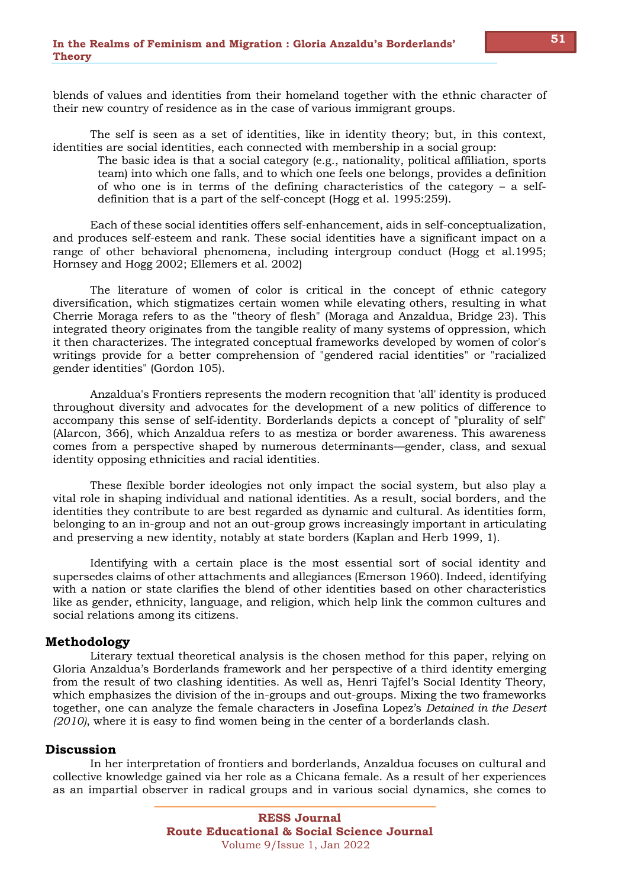blends of values and identities from their homeland together with the ethnic character of their new country of residence as in the case of various immigrant groups.

The self is seen as a set of identities, like in identity theory; but, in this context, identities are social identities, each connected with membership in a social group:

The basic idea is that a social category (e.g., nationality, political affiliation, sports team) into which one falls, and to which one feels one belongs, provides a definition of who one is in terms of the defining characteristics of the category – a selfdefinition that is a part of the self-concept (Hogg et al. 1995:259).

Each of these social identities offers self-enhancement, aids in self-conceptualization, and produces self-esteem and rank. These social identities have a significant impact on a range of other behavioral phenomena, including intergroup conduct (Hogg et al.1995; Hornsey and Hogg 2002; Ellemers et al. 2002)

The literature of women of color is critical in the concept of ethnic category diversification, which stigmatizes certain women while elevating others, resulting in what Cherrie Moraga refers to as the "theory of flesh" (Moraga and Anzaldua, Bridge 23). This integrated theory originates from the tangible reality of many systems of oppression, which it then characterizes. The integrated conceptual frameworks developed by women of color's writings provide for a better comprehension of "gendered racial identities" or "racialized gender identities" (Gordon 105).

Anzaldua's Frontiers represents the modern recognition that 'all' identity is produced throughout diversity and advocates for the development of a new politics of difference to accompany this sense of self-identity. Borderlands depicts a concept of "plurality of self" (Alarcon, 366), which Anzaldua refers to as mestiza or border awareness. This awareness comes from a perspective shaped by numerous determinants—gender, class, and sexual identity opposing ethnicities and racial identities.

These flexible border ideologies not only impact the social system, but also play a vital role in shaping individual and national identities. As a result, social borders, and the identities they contribute to are best regarded as dynamic and cultural. As identities form, belonging to an in-group and not an out-group grows increasingly important in articulating and preserving a new identity, notably at state borders (Kaplan and Herb 1999, 1).

Identifying with a certain place is the most essential sort of social identity and supersedes claims of other attachments and allegiances (Emerson 1960). Indeed, identifying with a nation or state clarifies the blend of other identities based on other characteristics like as gender, ethnicity, language, and religion, which help link the common cultures and social relations among its citizens.

# **Methodology**

Literary textual theoretical analysis is the chosen method for this paper, relying on Gloria Anzaldua's Borderlands framework and her perspective of a third identity emerging from the result of two clashing identities. As well as, Henri Tajfel's Social Identity Theory, which emphasizes the division of the in-groups and out-groups. Mixing the two frameworks together, one can analyze the female characters in Josefina Lopez's *Detained in the Desert (2010)*, where it is easy to find women being in the center of a borderlands clash.

## **Discussion**

In her interpretation of frontiers and borderlands, Anzaldua focuses on cultural and collective knowledge gained via her role as a Chicana female. As a result of her experiences as an impartial observer in radical groups and in various social dynamics, she comes to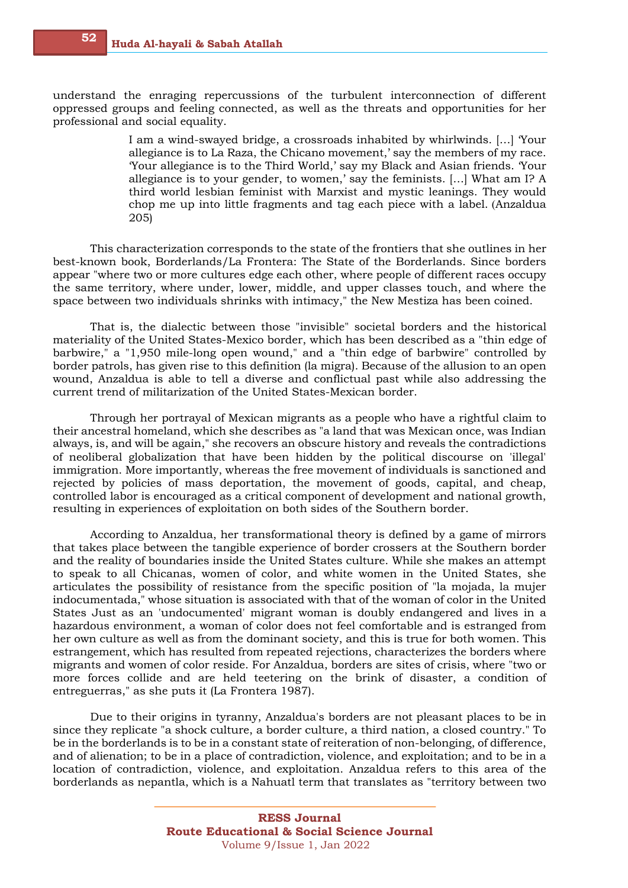understand the enraging repercussions of the turbulent interconnection of different oppressed groups and feeling connected, as well as the threats and opportunities for her professional and social equality.

> I am a wind-swayed bridge, a crossroads inhabited by whirlwinds. […] 'Your allegiance is to La Raza, the Chicano movement,' say the members of my race. 'Your allegiance is to the Third World,' say my Black and Asian friends. 'Your allegiance is to your gender, to women,' say the feminists. […] What am I? A third world lesbian feminist with Marxist and mystic leanings. They would chop me up into little fragments and tag each piece with a label. ( Anzaldua 205)

This characterization corresponds to the state of the frontiers that she outlines in her best-known book, Borderlands/La Frontera: The State of the Borderlands. Since borders appear "where two or more cultures edge each other, where people of different races occupy the same territory, where under, lower, middle, and upper classes touch, and where the space between two individuals shrinks with intimacy," the New Mestiza has been coined.

That is, the dialectic between those "invisible" societal borders and the historical materiality of the United States-Mexico border, which has been described as a "thin edge of barbwire," a "1,950 mile-long open wound," and a "thin edge of barbwire" controlled by border patrols, has given rise to this definition (la migra). Because of the allusion to an open wound, Anzaldua is able to tell a diverse and conflictual past while also addressing the current trend of militarization of the United States-Mexican border.

Through her portrayal of Mexican migrants as a people who have a rightful claim to their ancestral homeland, which she describes as "a land that was Mexican once, was Indian always, is, and will be again," she recovers an obscure history and reveals the contradictions of neoliberal globalization that have been hidden by the political discourse on 'illegal' immigration. More importantly, whereas the free movement of individuals is sanctioned and rejected by policies of mass deportation, the movement of goods, capital, and cheap, controlled labor is encouraged as a critical component of development and national growth, resulting in experiences of exploitation on both sides of the Southern border.

According to Anzaldua, her transformational theory is defined by a game of mirrors that takes place between the tangible experience of border crossers at the Southern border and the reality of boundaries inside the United States culture. While she makes an attempt to speak to all Chicanas, women of color, and white women in the United States, she articulates the possibility of resistance from the specific position of "la mojada, la mujer indocumentada," whose situation is associated with that of the woman of color in the United States Just as an 'undocumented' migrant woman is doubly endangered and lives in a hazardous environment, a woman of color does not feel comfortable and is estranged from her own culture as well as from the dominant society, and this is true for both women. This estrangement, which has resulted from repeated rejections, characterizes the borders where migrants and women of color reside. For Anzaldua, borders are sites of crisis, where "two or more forces collide and are held teetering on the brink of disaster, a condition of entreguerras," as she puts it (La Frontera 1987).

Due to their origins in tyranny, Anzaldua's borders are not pleasant places to be in since they replicate "a shock culture, a border culture, a third nation, a closed country." To be in the borderlands is to be in a constant state of reiteration of non-belonging, of difference, and of alienation; to be in a place of contradiction, violence, and exploitation; and to be in a location of contradiction, violence, and exploitation. Anzaldua refers to this area of the borderlands as nepantla, which is a Nahuatl term that translates as "territory between two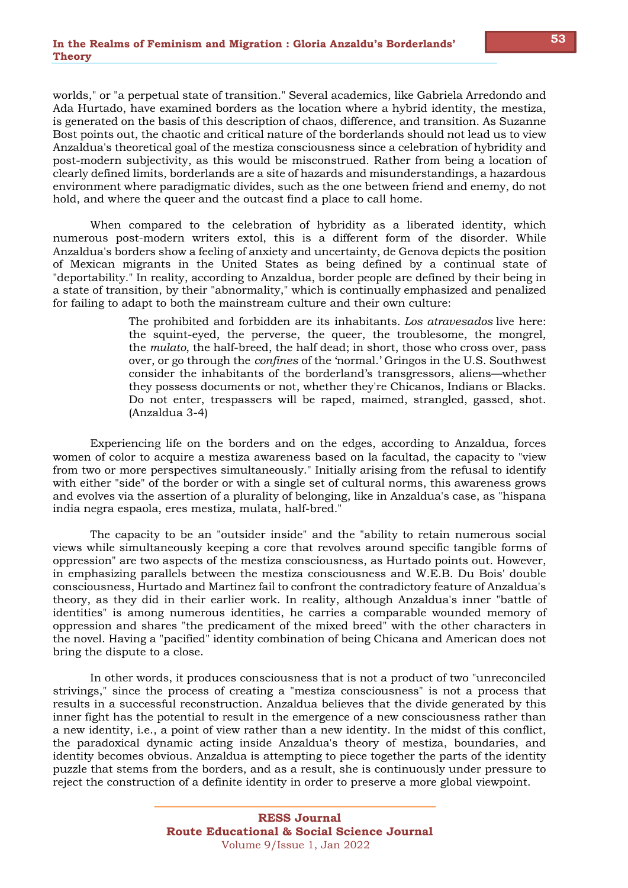worlds," or "a perpetual state of transition." Several academics, like Gabriela Arredondo and Ada Hurtado, have examined borders as the location where a hybrid identity, the mestiza, is generated on the basis of this description of chaos, difference, and transition. As Suzanne Bost points out, the chaotic and critical nature of the borderlands should not lead us to view Anzaldua's theoretical goal of the mestiza consciousness since a celebration of hybridity and post-modern subjectivity, as this would be misconstrued. Rather from being a location of clearly defined limits, borderlands are a site of hazards and misunderstandings, a hazardous environment where paradigmatic divides, such as the one between friend and enemy, do not hold, and where the queer and the outcast find a place to call home.

When compared to the celebration of hybridity as a liberated identity, which numerous post-modern writers extol, this is a different form of the disorder. While Anzaldua's borders show a feeling of anxiety and uncertainty, de Genova depicts the position of Mexican migrants in the United States as being defined by a continual state of "deportability." In reality, according to Anzaldua, border people are defined by their being in a state of transition, by their "abnormality," which is continually emphasized and penalized for failing to adapt to both the mainstream culture and their own culture:

> The prohibited and forbidden are its inhabitants. *Los atravesados* live here: the squint-eyed, the perverse, the queer, the troublesome, the mongrel, the *mulato*, the half-breed, the half dead; in short, those who cross over, pass over, or go through the *confines* of the 'normal.' Gringos in the U.S. Southwest consider the inhabitants of the borderland's transgressors, aliens—whether they possess documents or not, whether they're Chicanos, Indians or Blacks. Do not enter, trespassers will be raped, maimed, strangled, gassed, shot. (Anzaldua 3-4)

Experiencing life on the borders and on the edges, according to Anzaldua, forces women of color to acquire a mestiza awareness based on la facultad, the capacity to "view from two or more perspectives simultaneously." Initially arising from the refusal to identify with either "side" of the border or with a single set of cultural norms, this awareness grows and evolves via the assertion of a plurality of belonging, like in Anzaldua's case, as "hispana india negra espaola, eres mestiza, mulata, half-bred."

The capacity to be an "outsider inside" and the "ability to retain numerous social views while simultaneously keeping a core that revolves around specific tangible forms of oppression" are two aspects of the mestiza consciousness, as Hurtado points out. However, in emphasizing parallels between the mestiza consciousness and W.E.B. Du Bois' double consciousness, Hurtado and Martinez fail to confront the contradictory feature of Anzaldua's theory, as they did in their earlier work. In reality, although Anzaldua's inner "battle of identities" is among numerous identities, he carries a comparable wounded memory of oppression and shares "the predicament of the mixed breed" with the other characters in the novel. Having a "pacified" identity combination of being Chicana and American does not bring the dispute to a close.

In other words, it produces consciousness that is not a product of two "unreconciled strivings," since the process of creating a "mestiza consciousness" is not a process that results in a successful reconstruction. Anzaldua believes that the divide generated by this inner fight has the potential to result in the emergence of a new consciousness rather than a new identity, i.e., a point of view rather than a new identity. In the midst of this conflict, the paradoxical dynamic acting inside Anzaldua's theory of mestiza, boundaries, and identity becomes obvious. Anzaldua is attempting to piece together the parts of the identity puzzle that stems from the borders, and as a result, she is continuously under pressure to reject the construction of a definite identity in order to preserve a more global viewpoint.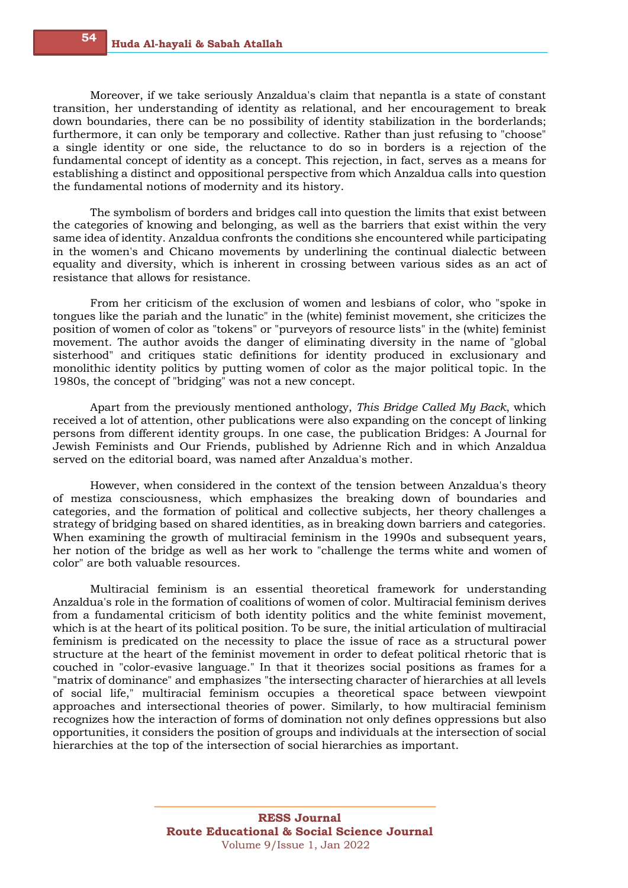Moreover, if we take seriously Anzaldua's claim that nepantla is a state of constant transition, her understanding of identity as relational, and her encouragement to break down boundaries, there can be no possibility of identity stabilization in the borderlands; furthermore, it can only be temporary and collective. Rather than just refusing to "choose" a single identity or one side, the reluctance to do so in borders is a rejection of the fundamental concept of identity as a concept. This rejection, in fact, serves as a means for establishing a distinct and oppositional perspective from which Anzaldua calls into question the fundamental notions of modernity and its history.

The symbolism of borders and bridges call into question the limits that exist between the categories of knowing and belonging, as well as the barriers that exist within the very same idea of identity. Anzaldua confronts the conditions she encountered while participating in the women's and Chicano movements by underlining the continual dialectic between equality and diversity, which is inherent in crossing between various sides as an act of resistance that allows for resistance.

From her criticism of the exclusion of women and lesbians of color, who "spoke in tongues like the pariah and the lunatic" in the (white) feminist movement, she criticizes the position of women of color as "tokens" or "purveyors of resource lists" in the (white) feminist movement. The author avoids the danger of eliminating diversity in the name of "global sisterhood" and critiques static definitions for identity produced in exclusionary and monolithic identity politics by putting women of color as the major political topic. In the 1980s, the concept of "bridging" was not a new concept.

Apart from the previously mentioned anthology, *This Bridge Called My Back*, which received a lot of attention, other publications were also expanding on the concept of linking persons from different identity groups. In one case, the publication Bridges: A Journal for Jewish Feminists and Our Friends, published by Adrienne Rich and in which Anzaldua served on the editorial board, was named after Anzaldua's mother.

However, when considered in the context of the tension between Anzaldua's theory of mestiza consciousness, which emphasizes the breaking down of boundaries and categories, and the formation of political and collective subjects, her theory challenges a strategy of bridging based on shared identities, as in breaking down barriers and categories. When examining the growth of multiracial feminism in the 1990s and subsequent years, her notion of the bridge as well as her work to "challenge the terms white and women of color" are both valuable resources.

Multiracial feminism is an essential theoretical framework for understanding Anzaldua's role in the formation of coalitions of women of color. Multiracial feminism derives from a fundamental criticism of both identity politics and the white feminist movement, which is at the heart of its political position. To be sure, the initial articulation of multiracial feminism is predicated on the necessity to place the issue of race as a structural power structure at the heart of the feminist movement in order to defeat political rhetoric that is couched in "color-evasive language." In that it theorizes social positions as frames for a "matrix of dominance" and emphasizes "the intersecting character of hierarchies at all levels of social life," multiracial feminism occupies a theoretical space between viewpoint approaches and intersectional theories of power. Similarly, to how multiracial feminism recognizes how the interaction of forms of domination not only defines oppressions but also opportunities, it considers the position of groups and individuals at the intersection of social hierarchies at the top of the intersection of social hierarchies as important.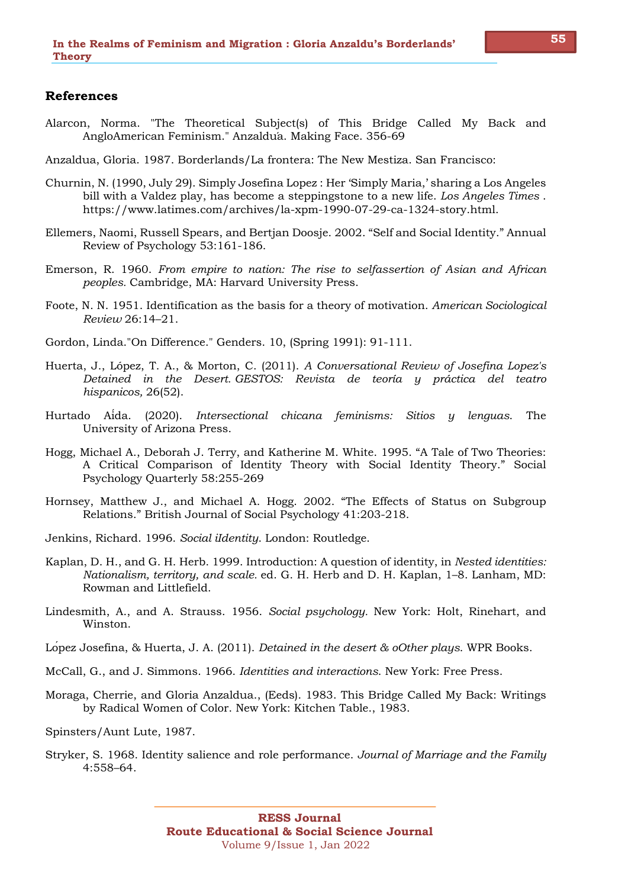# **References**

- Alarcon, Norma. "The Theoretical Subject(s) of This Bridge Called My Back and AngloAmerican Feminism." Anzaldúa. Making Face. 356-69
- Anzaldua, Gloria. 1987. Borderlands/La frontera: The New Mestiza. San Francisco:
- Churnin, N. (1990, July 29). Simply Josefina Lopez : Her 'Simply Maria,' sharing a Los Angeles bill with a Valdez play, has become a steppingstone to a new life. *Los Angeles Times* . https://www.latimes.com/archives/la-xpm-1990-07-29-ca-1324-story.html.
- Ellemers, Naomi, Russell Spears, and Bertjan Doosje. 2002. "Self and Social Identity." Annual Review of Psychology 53:161-186.
- Emerson, R. 1960. *From empire to nation: The rise to selfassertion of Asian and African peoples.* Cambridge, MA: Harvard University Press.
- Foote, N. N. 1951. Identification as the basis for a theory of motivation. *American Sociological Review* 26:14–21.
- Gordon, Linda."On Difference." Genders. 10, (Spring 1991): 91-111.
- Huerta, J., López, T. A., & Morton, C. (2011). *A Conversational Review of Josefina Lopez's Detained in the Desert. GESTOS: Revista de teoría y práctica del teatro hispanicos,* 26(52).
- Hurtado Aída. (2020). *Intersectional chicana feminisms: Sitios y lenguas*. The University of Arizona Press.
- Hogg, Michael A., Deborah J. Terry, and Katherine M. White. 1995. "A Tale of Two Theories: A Critical Comparison of Identity Theory with Social Identity Theory." Social Psychology Quarterly 58:255-269
- Hornsey, Matthew J., and Michael A. Hogg. 2002. "The Effects of Status on Subgroup Relations." British Journal of Social Psychology 41:203-218.
- Jenkins, Richard. 1996. *Social iIdentity*. London: Routledge.
- Kaplan, D. H., and G. H. Herb. 1999. Introduction: A question of identity, in *Nested identities: Nationalism, territory, and scale.* ed. G. H. Herb and D. H. Kaplan, 1–8. Lanham, MD: Rowman and Littlefield.
- Lindesmith, A., and A. Strauss. 1956. *Social psychology.* New York: Holt, Rinehart, and Winston.
- López Josefina, & Huerta, J. A. (2011). *Detained in the desert & oOther plays*. WPR Books.
- McCall, G., and J. Simmons. 1966. *Identities and interactions*. New York: Free Press.
- Moraga, Cherrie, and Gloria Anzaldua., (Eeds). 1983. This Bridge Called My Back: Writings by Radical Women of Color. New York: Kitchen Table., 1983.
- Spinsters/Aunt Lute, 1987.
- Stryker, S. 1968. Identity salience and role performance. *Journal of Marriage and the Family*  4:558–64.

**55**